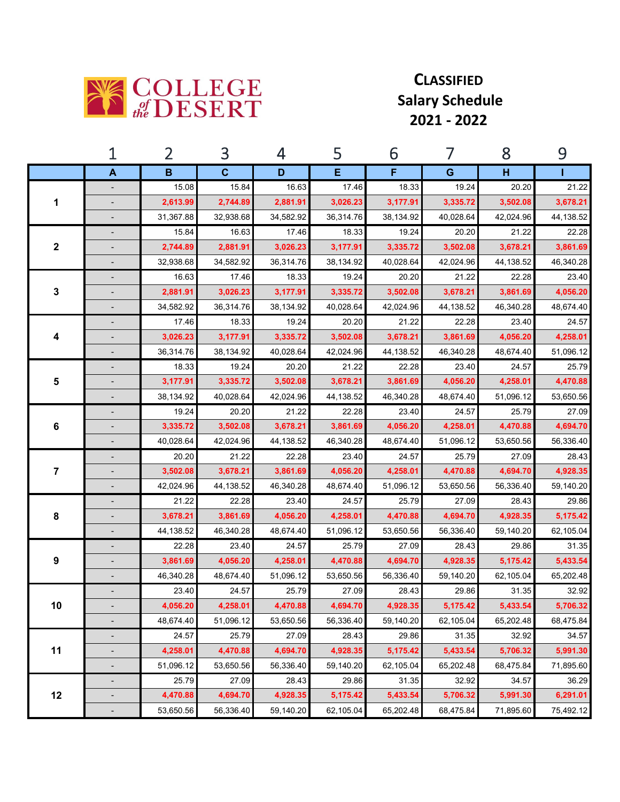

## **CLASSIFIED Salary Schedule 2021 ‐ 2022**

|                         | 1                        | 2         | 3            | 4         | 5         | 6         | 7         | 8         | 9         |
|-------------------------|--------------------------|-----------|--------------|-----------|-----------|-----------|-----------|-----------|-----------|
|                         | A                        | B         | $\mathbf{C}$ | D         | Е         | F         | G         | н         |           |
| 1                       | $\centerdot$             | 15.08     | 15.84        | 16.63     | 17.46     | 18.33     | 19.24     | 20.20     | 21.22     |
|                         |                          | 2,613.99  | 2,744.89     | 2,881.91  | 3,026.23  | 3,177.91  | 3,335.72  | 3,502.08  | 3,678.21  |
|                         | -                        | 31,367.88 | 32,938.68    | 34,582.92 | 36,314.76 | 38,134.92 | 40,028.64 | 42,024.96 | 44,138.52 |
| $\boldsymbol{2}$        |                          | 15.84     | 16.63        | 17.46     | 18.33     | 19.24     | 20.20     | 21.22     | 22.28     |
|                         |                          | 2,744.89  | 2,881.91     | 3,026.23  | 3,177.91  | 3,335.72  | 3,502.08  | 3,678.21  | 3,861.69  |
|                         |                          | 32,938.68 | 34,582.92    | 36,314.76 | 38,134.92 | 40,028.64 | 42,024.96 | 44,138.52 | 46,340.28 |
| 3                       |                          | 16.63     | 17.46        | 18.33     | 19.24     | 20.20     | 21.22     | 22.28     | 23.40     |
|                         |                          | 2,881.91  | 3,026.23     | 3,177.91  | 3,335.72  | 3,502.08  | 3,678.21  | 3,861.69  | 4,056.20  |
|                         |                          | 34,582.92 | 36,314.76    | 38,134.92 | 40,028.64 | 42,024.96 | 44,138.52 | 46,340.28 | 48,674.40 |
|                         | $\overline{\phantom{a}}$ | 17.46     | 18.33        | 19.24     | 20.20     | 21.22     | 22.28     | 23.40     | 24.57     |
| 4                       |                          | 3,026.23  | 3,177.91     | 3,335.72  | 3,502.08  | 3,678.21  | 3,861.69  | 4,056.20  | 4,258.01  |
|                         |                          | 36,314.76 | 38,134.92    | 40,028.64 | 42,024.96 | 44,138.52 | 46,340.28 | 48,674.40 | 51,096.12 |
|                         |                          | 18.33     | 19.24        | 20.20     | 21.22     | 22.28     | 23.40     | 24.57     | 25.79     |
| 5                       |                          | 3,177.91  | 3,335.72     | 3,502.08  | 3,678.21  | 3,861.69  | 4,056.20  | 4,258.01  | 4,470.88  |
|                         |                          | 38,134.92 | 40,028.64    | 42,024.96 | 44,138.52 | 46,340.28 | 48,674.40 | 51,096.12 | 53,650.56 |
|                         | -                        | 19.24     | 20.20        | 21.22     | 22.28     | 23.40     | 24.57     | 25.79     | 27.09     |
| 6                       |                          | 3,335.72  | 3,502.08     | 3,678.21  | 3,861.69  | 4,056.20  | 4,258.01  | 4,470.88  | 4,694.70  |
|                         |                          | 40,028.64 | 42,024.96    | 44,138.52 | 46,340.28 | 48,674.40 | 51,096.12 | 53,650.56 | 56,336.40 |
| $\overline{\mathbf{7}}$ |                          | 20.20     | 21.22        | 22.28     | 23.40     | 24.57     | 25.79     | 27.09     | 28.43     |
|                         |                          | 3,502.08  | 3,678.21     | 3,861.69  | 4,056.20  | 4,258.01  | 4,470.88  | 4,694.70  | 4,928.35  |
|                         |                          | 42,024.96 | 44,138.52    | 46,340.28 | 48,674.40 | 51,096.12 | 53,650.56 | 56,336.40 | 59,140.20 |
| 8                       |                          | 21.22     | 22.28        | 23.40     | 24.57     | 25.79     | 27.09     | 28.43     | 29.86     |
|                         |                          | 3,678.21  | 3,861.69     | 4,056.20  | 4,258.01  | 4,470.88  | 4,694.70  | 4,928.35  | 5,175.42  |
|                         |                          | 44,138.52 | 46,340.28    | 48,674.40 | 51,096.12 | 53,650.56 | 56,336.40 | 59,140.20 | 62,105.04 |
| 9                       |                          | 22.28     | 23.40        | 24.57     | 25.79     | 27.09     | 28.43     | 29.86     | 31.35     |
|                         |                          | 3,861.69  | 4,056.20     | 4,258.01  | 4,470.88  | 4,694.70  | 4,928.35  | 5,175.42  | 5,433.54  |
|                         | $\frac{1}{2}$            | 46,340.28 | 48,674.40    | 51,096.12 | 53,650.56 | 56,336.40 | 59,140.20 | 62,105.04 | 65,202.48 |
| 10                      |                          | 23.40     | 24.57        | 25.79     | 27.09     | 28.43     | 29.86     | 31.35     | 32.92     |
|                         | -                        | 4,056.20  | 4,258.01     | 4,470.88  | 4,694.70  | 4,928.35  | 5,175.42  | 5,433.54  | 5,706.32  |
|                         |                          | 48,674.40 | 51,096.12    | 53,650.56 | 56,336.40 | 59,140.20 | 62,105.04 | 65,202.48 | 68,475.84 |
|                         | $\overline{\phantom{m}}$ | 24.57     | 25.79        | 27.09     | 28.43     | 29.86     | 31.35     | 32.92     | 34.57     |
| 11                      |                          | 4,258.01  | 4,470.88     | 4,694.70  | 4,928.35  | 5,175.42  | 5,433.54  | 5,706.32  | 5,991.30  |
|                         | $\centerdot$             | 51,096.12 | 53,650.56    | 56,336.40 | 59,140.20 | 62,105.04 | 65.202.48 | 68.475.84 | 71,895.60 |
| 12                      |                          | 25.79     | 27.09        | 28.43     | 29.86     | 31.35     | 32.92     | 34.57     | 36.29     |
|                         |                          | 4,470.88  | 4,694.70     | 4,928.35  | 5,175.42  | 5,433.54  | 5,706.32  | 5,991.30  | 6,291.01  |
|                         | $\overline{\phantom{a}}$ | 53,650.56 | 56,336.40    | 59,140.20 | 62,105.04 | 65,202.48 | 68,475.84 | 71,895.60 | 75,492.12 |